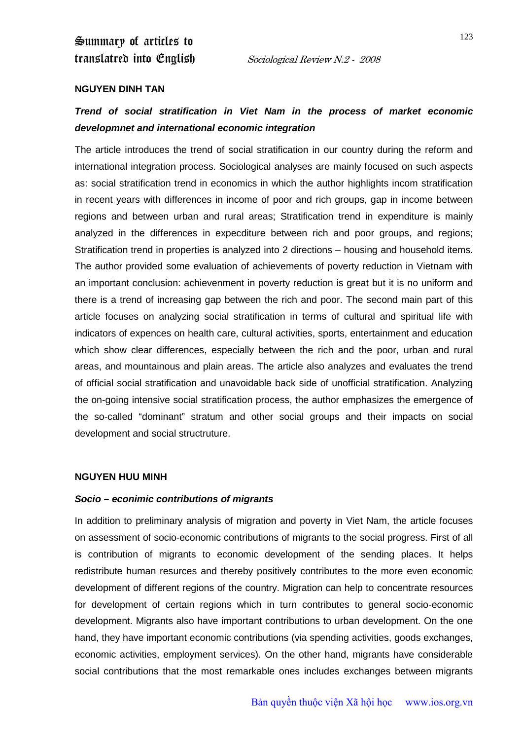Summary of articles to translatred into English Sociological Review N.2 - 2008

#### **NGUYEN DINH TAN**

## *Trend of social stratification in Viet Nam in the process of market economic developmnet and international economic integration*

The article introduces the trend of social stratification in our country during the reform and international integration process. Sociological analyses are mainly focused on such aspects as: social stratification trend in economics in which the author highlights incom stratification in recent years with differences in income of poor and rich groups, gap in income between regions and between urban and rural areas; Stratification trend in expenditure is mainly analyzed in the differences in expecditure between rich and poor groups, and regions; Stratification trend in properties is analyzed into 2 directions – housing and household items. The author provided some evaluation of achievements of poverty reduction in Vietnam with an important conclusion: achievenment in poverty reduction is great but it is no uniform and there is a trend of increasing gap between the rich and poor. The second main part of this article focuses on analyzing social stratification in terms of cultural and spiritual life with indicators of expences on health care, cultural activities, sports, entertainment and education which show clear differences, especially between the rich and the poor, urban and rural areas, and mountainous and plain areas. The article also analyzes and evaluates the trend of official social stratification and unavoidable back side of unofficial stratification. Analyzing the on-going intensive social stratification process, the author emphasizes the emergence of the so-called "dominant" stratum and other social groups and their impacts on social development and social structruture.

#### **NGUYEN HUU MINH**

#### *Socio – econimic contributions of migrants*

In addition to preliminary analysis of migration and poverty in Viet Nam, the article focuses on assessment of socio-economic contributions of migrants to the social progress. First of all is contribution of migrants to economic development of the sending places. It helps redistribute human resurces and thereby positively contributes to the more even economic development of different regions of the country. Migration can help to concentrate resources for development of certain regions which in turn contributes to general socio-economic development. Migrants also have important contributions to urban development. On the one hand, they have important economic contributions (via spending activities, goods exchanges, economic activities, employment services). On the other hand, migrants have considerable social contributions that the most remarkable ones includes exchanges between migrants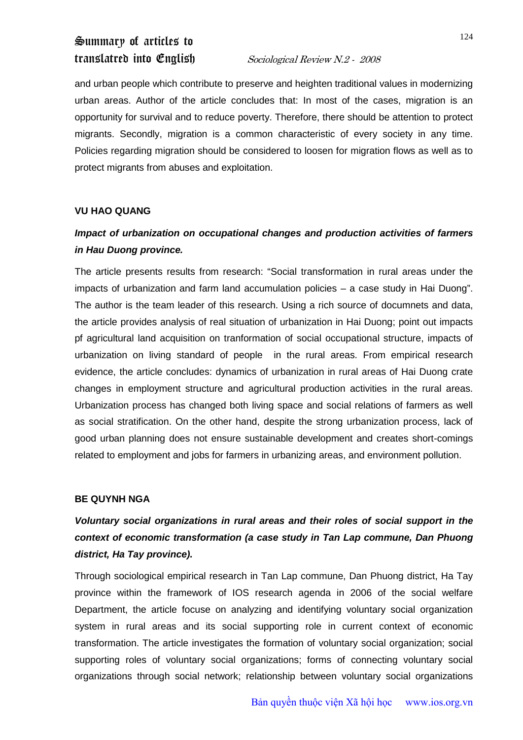# Summary of articles to

## translatred into English Sociological Review N.2 - 2008

and urban people which contribute to preserve and heighten traditional values in modernizing urban areas. Author of the article concludes that: In most of the cases, migration is an opportunity for survival and to reduce poverty. Therefore, there should be attention to protect migrants. Secondly, migration is a common characteristic of every society in any time. Policies regarding migration should be considered to loosen for migration flows as well as to protect migrants from abuses and exploitation.

## **VU HAO QUANG**

## *Impact of urbanization on occupational changes and production activities of farmers in Hau Duong province.*

The article presents results from research: "Social transformation in rural areas under the impacts of urbanization and farm land accumulation policies – a case study in Hai Duong". The author is the team leader of this research. Using a rich source of documnets and data, the article provides analysis of real situation of urbanization in Hai Duong; point out impacts pf agricultural land acquisition on tranformation of social occupational structure, impacts of urbanization on living standard of people in the rural areas. From empirical research evidence, the article concludes: dynamics of urbanization in rural areas of Hai Duong crate changes in employment structure and agricultural production activities in the rural areas. Urbanization process has changed both living space and social relations of farmers as well as social stratification. On the other hand, despite the strong urbanization process, lack of good urban planning does not ensure sustainable development and creates short-comings related to employment and jobs for farmers in urbanizing areas, and environment pollution.

## **BE QUYNH NGA**

## *Voluntary social organizations in rural areas and their roles of social support in the context of economic transformation (a case study in Tan Lap commune, Dan Phuong district, Ha Tay province).*

Through sociological empirical research in Tan Lap commune, Dan Phuong district, Ha Tay province within the framework of IOS research agenda in 2006 of the social welfare Department, the article focuse on analyzing and identifying voluntary social organization system in rural areas and its social supporting role in current context of economic transformation. The article investigates the formation of voluntary social organization; social supporting roles of voluntary social organizations; forms of connecting voluntary social organizations through social network; relationship between voluntary social organizations